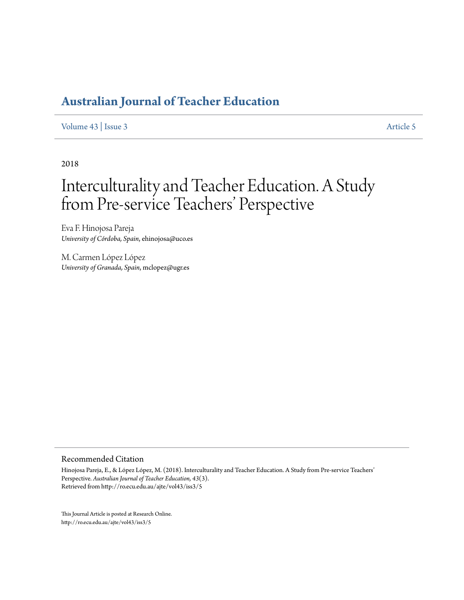[Volume 43](http://ro.ecu.edu.au/ajte/vol43) | [Issue 3](http://ro.ecu.edu.au/ajte/vol43/iss3) [Article 5](http://ro.ecu.edu.au/ajte/vol43/iss3/5)

2018

# Interculturality and Teacher Education. A Study from Pre-service Teachers' Perspective

Eva F. Hinojosa Pareja *University of Córdoba, Spain*, ehinojosa@uco.es

M. Carmen López López *University of Granada, Spain*, mclopez@ugr.es

#### Recommended Citation

Hinojosa Pareja, E., & López López, M. (2018). Interculturality and Teacher Education. A Study from Pre-service Teachers' Perspective. *Australian Journal of Teacher Education, 43*(3). Retrieved from http://ro.ecu.edu.au/ajte/vol43/iss3/5

This Journal Article is posted at Research Online. http://ro.ecu.edu.au/ajte/vol43/iss3/5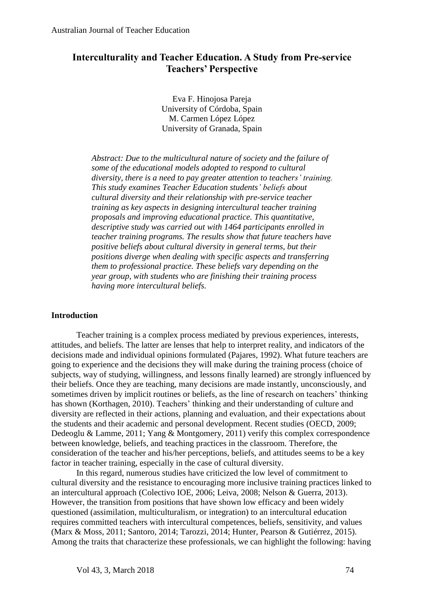## **Interculturality and Teacher Education. A Study from Pre-service Teachers' Perspective**

Eva F. Hinojosa Pareja University of Córdoba, Spain M. Carmen López López University of Granada, Spain

*Abstract: Due to the multicultural nature of society and the failure of some of the educational models adopted to respond to cultural diversity, there is a need to pay greater attention to teachers' training. This study examines Teacher Education students' beliefs about cultural diversity and their relationship with pre-service teacher training as key aspects in designing intercultural teacher training proposals and improving educational practice. This quantitative, descriptive study was carried out with 1464 participants enrolled in teacher training programs. The results show that future teachers have positive beliefs about cultural diversity in general terms, but their positions diverge when dealing with specific aspects and transferring them to professional practice. These beliefs vary depending on the year group, with students who are finishing their training process having more intercultural beliefs.*

#### **Introduction**

Teacher training is a complex process mediated by previous experiences, interests, attitudes, and beliefs. The latter are lenses that help to interpret reality, and indicators of the decisions made and individual opinions formulated (Pajares, 1992). What future teachers are going to experience and the decisions they will make during the training process (choice of subjects, way of studying, willingness, and lessons finally learned) are strongly influenced by their beliefs. Once they are teaching, many decisions are made instantly, unconsciously, and sometimes driven by implicit routines or beliefs, as the line of research on teachers' thinking has shown (Korthagen, 2010). Teachers' thinking and their understanding of culture and diversity are reflected in their actions, planning and evaluation, and their expectations about the students and their academic and personal development. Recent studies (OECD, 2009; Dedeoglu & Lamme, 2011; Yang & Montgomery, 2011) verify this complex correspondence between knowledge, beliefs, and teaching practices in the classroom. Therefore, the consideration of the teacher and his/her perceptions, beliefs, and attitudes seems to be a key factor in teacher training, especially in the case of cultural diversity.

In this regard, numerous studies have criticized the low level of commitment to cultural diversity and the resistance to encouraging more inclusive training practices linked to an intercultural approach (Colectivo IOE, 2006; Leiva, 2008; Nelson & Guerra, 2013). However, the transition from positions that have shown low efficacy and been widely questioned (assimilation, multiculturalism, or integration) to an intercultural education requires committed teachers with intercultural competences, beliefs, sensitivity, and values (Marx & Moss, 2011; Santoro, 2014; Tarozzi, 2014; Hunter, Pearson & Gutiérrez, 2015). Among the traits that characterize these professionals, we can highlight the following: having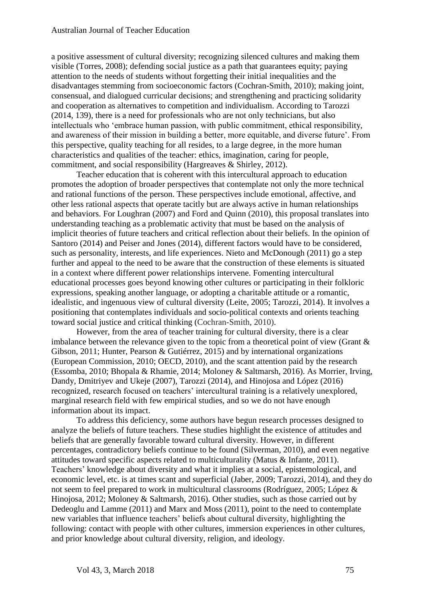a positive assessment of cultural diversity; recognizing silenced cultures and making them visible (Torres, 2008); defending social justice as a path that guarantees equity; paying attention to the needs of students without forgetting their initial inequalities and the disadvantages stemming from socioeconomic factors (Cochran-Smith, 2010); making joint, consensual, and dialogued curricular decisions; and strengthening and practicing solidarity and cooperation as alternatives to competition and individualism. According to Tarozzi (2014, 139), there is a need for professionals who are not only technicians, but also intellectuals who 'embrace human passion, with public commitment, ethical responsibility, and awareness of their mission in building a better, more equitable, and diverse future'. From this perspective, quality teaching for all resides, to a large degree, in the more human characteristics and qualities of the teacher: ethics, imagination, caring for people, commitment, and social responsibility (Hargreaves & Shirley, 2012).

Teacher education that is coherent with this intercultural approach to education promotes the adoption of broader perspectives that contemplate not only the more technical and rational functions of the person. These perspectives include emotional, affective, and other less rational aspects that operate tacitly but are always active in human relationships and behaviors. For Loughran (2007) and Ford and Quinn (2010), this proposal translates into understanding teaching as a problematic activity that must be based on the analysis of implicit theories of future teachers and critical reflection about their beliefs. In the opinion of Santoro (2014) and Peiser and Jones (2014), different factors would have to be considered, such as personality, interests, and life experiences. Nieto and McDonough (2011) go a step further and appeal to the need to be aware that the construction of these elements is situated in a context where different power relationships intervene. Fomenting intercultural educational processes goes beyond knowing other cultures or participating in their folkloric expressions, speaking another language, or adopting a charitable attitude or a romantic, idealistic, and ingenuous view of cultural diversity (Leite, 2005; Tarozzi, 2014). It involves a positioning that contemplates individuals and socio-political contexts and orients teaching toward social justice and critical thinking (Cochran-Smith, 2010).

However, from the area of teacher training for cultural diversity, there is a clear imbalance between the relevance given to the topic from a theoretical point of view (Grant & Gibson, 2011; Hunter, Pearson & Gutiérrez, 2015) and by international organizations (European Commission, 2010; OECD, 2010), and the scant attention paid by the research (Essomba, 2010; Bhopala & Rhamie, 2014; Moloney & Saltmarsh, 2016). As Morrier, Irving, Dandy, Dmitriyev and Ukeje (2007), Tarozzi (2014), and Hinojosa and López (2016) recognized, research focused on teachers' intercultural training is a relatively unexplored, marginal research field with few empirical studies, and so we do not have enough information about its impact.

To address this deficiency, some authors have begun research processes designed to analyze the beliefs of future teachers. These studies highlight the existence of attitudes and beliefs that are generally favorable toward cultural diversity. However, in different percentages, contradictory beliefs continue to be found (Silverman, 2010), and even negative attitudes toward specific aspects related to multiculturality (Matus & Infante, 2011). Teachers' knowledge about diversity and what it implies at a social, epistemological, and economic level, etc. is at times scant and superficial (Jaber, 2009; Tarozzi, 2014), and they do not seem to feel prepared to work in multicultural classrooms (Rodríguez, 2005; López & Hinojosa, 2012; Moloney & Saltmarsh, 2016). Other studies, such as those carried out by Dedeoglu and Lamme (2011) and Marx and Moss (2011), point to the need to contemplate new variables that influence teachers' beliefs about cultural diversity, highlighting the following: contact with people with other cultures, immersion experiences in other cultures, and prior knowledge about cultural diversity, religion, and ideology.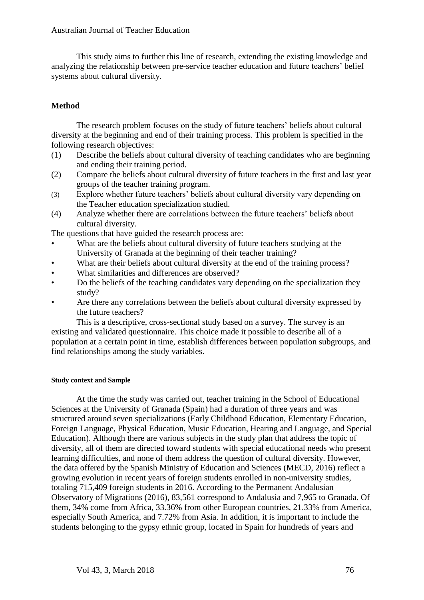This study aims to further this line of research, extending the existing knowledge and analyzing the relationship between pre-service teacher education and future teachers' belief systems about cultural diversity.

## **Method**

The research problem focuses on the study of future teachers' beliefs about cultural diversity at the beginning and end of their training process. This problem is specified in the following research objectives:

- (1) Describe the beliefs about cultural diversity of teaching candidates who are beginning and ending their training period.
- (2) Compare the beliefs about cultural diversity of future teachers in the first and last year groups of the teacher training program.
- (3) Explore whether future teachers' beliefs about cultural diversity vary depending on the Teacher education specialization studied.
- (4) Analyze whether there are correlations between the future teachers' beliefs about cultural diversity.

The questions that have guided the research process are:

- What are the beliefs about cultural diversity of future teachers studying at the University of Granada at the beginning of their teacher training?
- What are their beliefs about cultural diversity at the end of the training process?
- What similarities and differences are observed?
- Do the beliefs of the teaching candidates vary depending on the specialization they study?
- Are there any correlations between the beliefs about cultural diversity expressed by the future teachers?

This is a descriptive, cross-sectional study based on a survey. The survey is an existing and validated questionnaire. This choice made it possible to describe all of a population at a certain point in time, establish differences between population subgroups, and find relationships among the study variables.

### **Study context and Sample**

At the time the study was carried out, teacher training in the School of Educational Sciences at the University of Granada (Spain) had a duration of three years and was structured around seven specializations (Early Childhood Education, Elementary Education, Foreign Language, Physical Education, Music Education, Hearing and Language, and Special Education). Although there are various subjects in the study plan that address the topic of diversity, all of them are directed toward students with special educational needs who present learning difficulties, and none of them address the question of cultural diversity. However, the data offered by the Spanish Ministry of Education and Sciences (MECD, 2016) reflect a growing evolution in recent years of foreign students enrolled in non-university studies, totaling 715,409 foreign students in 2016. According to the Permanent Andalusian Observatory of Migrations (2016), 83,561 correspond to Andalusia and 7,965 to Granada. Of them, 34% come from Africa, 33.36% from other European countries, 21.33% from America, especially South America, and 7.72% from Asia. In addition, it is important to include the students belonging to the gypsy ethnic group, located in Spain for hundreds of years and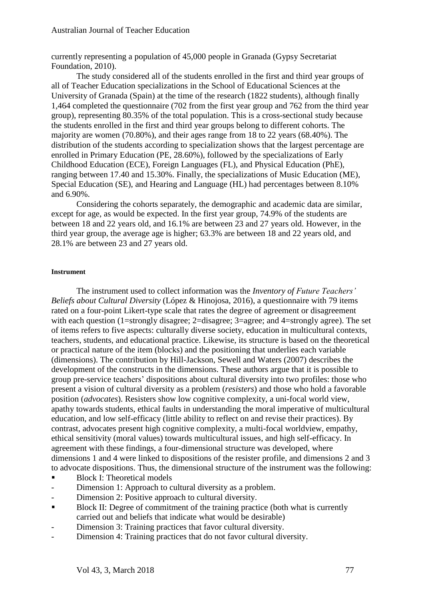currently representing a population of 45,000 people in Granada (Gypsy Secretariat Foundation, 2010).

The study considered all of the students enrolled in the first and third year groups of all of Teacher Education specializations in the School of Educational Sciences at the University of Granada (Spain) at the time of the research (1822 students), although finally 1,464 completed the questionnaire (702 from the first year group and 762 from the third year group), representing 80.35% of the total population. This is a cross-sectional study because the students enrolled in the first and third year groups belong to different cohorts. The majority are women (70.80%), and their ages range from 18 to 22 years (68.40%). The distribution of the students according to specialization shows that the largest percentage are enrolled in Primary Education (PE, 28.60%), followed by the specializations of Early Childhood Education (ECE), Foreign Languages (FL), and Physical Education (PhE), ranging between 17.40 and 15.30%. Finally, the specializations of Music Education (ME), Special Education (SE), and Hearing and Language (HL) had percentages between 8.10% and 6.90%.

Considering the cohorts separately, the demographic and academic data are similar, except for age, as would be expected. In the first year group, 74.9% of the students are between 18 and 22 years old, and 16.1% are between 23 and 27 years old. However, in the third year group, the average age is higher; 63.3% are between 18 and 22 years old, and 28.1% are between 23 and 27 years old.

#### **Instrument**

The instrument used to collect information was the *Inventory of Future Teachers' Beliefs about Cultural Diversity* (López & Hinojosa, 2016), a questionnaire with 79 items rated on a four-point Likert-type scale that rates the degree of agreement or disagreement with each question (1=strongly disagree; 2=disagree; 3=agree; and 4=strongly agree). The set of items refers to five aspects: culturally diverse society, education in multicultural contexts, teachers, students, and educational practice. Likewise, its structure is based on the theoretical or practical nature of the item (blocks) and the positioning that underlies each variable (dimensions). The contribution by Hill-Jackson, Sewell and Waters (2007) describes the development of the constructs in the dimensions. These authors argue that it is possible to group pre-service teachers' dispositions about cultural diversity into two profiles: those who present a vision of cultural diversity as a problem (*resisters*) and those who hold a favorable position (*advocates*). Resisters show low cognitive complexity, a uni-focal world view, apathy towards students, ethical faults in understanding the moral imperative of multicultural education, and low self-efficacy (little ability to reflect on and revise their practices). By contrast, advocates present high cognitive complexity, a multi-focal worldview, empathy, ethical sensitivity (moral values) towards multicultural issues, and high self-efficacy. In agreement with these findings, a four-dimensional structure was developed, where dimensions 1 and 4 were linked to dispositions of the resister profile, and dimensions 2 and 3 to advocate dispositions. Thus, the dimensional structure of the instrument was the following:

- Block I: Theoretical models
- Dimension 1: Approach to cultural diversity as a problem.
- Dimension 2: Positive approach to cultural diversity.
- Block II: Degree of commitment of the training practice (both what is currently carried out and beliefs that indicate what would be desirable)
- Dimension 3: Training practices that favor cultural diversity.
- Dimension 4: Training practices that do not favor cultural diversity.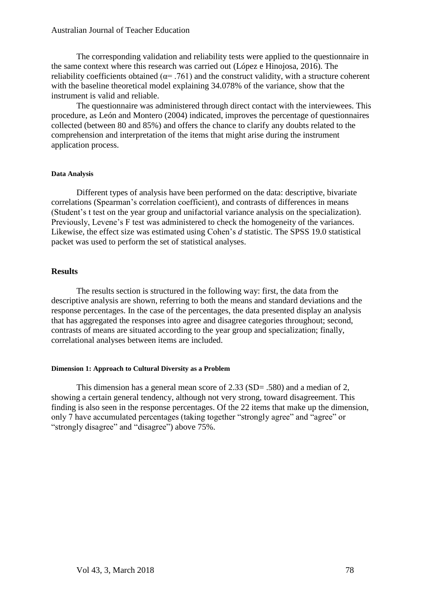The corresponding validation and reliability tests were applied to the questionnaire in the same context where this research was carried out (López e Hinojosa, 2016). The reliability coefficients obtained ( $\alpha$ = .761) and the construct validity, with a structure coherent with the baseline theoretical model explaining 34.078% of the variance, show that the instrument is valid and reliable.

The questionnaire was administered through direct contact with the interviewees. This procedure, as León and Montero (2004) indicated, improves the percentage of questionnaires collected (between 80 and 85%) and offers the chance to clarify any doubts related to the comprehension and interpretation of the items that might arise during the instrument application process.

#### **Data Analysis**

Different types of analysis have been performed on the data: descriptive, bivariate correlations (Spearman's correlation coefficient), and contrasts of differences in means (Student's t test on the year group and unifactorial variance analysis on the specialization). Previously, Levene's F test was administered to check the homogeneity of the variances. Likewise, the effect size was estimated using Cohen's *d* statistic. The SPSS 19.0 statistical packet was used to perform the set of statistical analyses.

#### **Results**

The results section is structured in the following way: first, the data from the descriptive analysis are shown, referring to both the means and standard deviations and the response percentages. In the case of the percentages, the data presented display an analysis that has aggregated the responses into agree and disagree categories throughout; second, contrasts of means are situated according to the year group and specialization; finally, correlational analyses between items are included.

#### **Dimension 1: Approach to Cultural Diversity as a Problem**

This dimension has a general mean score of 2.33 (SD= .580) and a median of 2, showing a certain general tendency, although not very strong, toward disagreement. This finding is also seen in the response percentages. Of the 22 items that make up the dimension, only 7 have accumulated percentages (taking together "strongly agree" and "agree" or "strongly disagree" and "disagree" above 75%.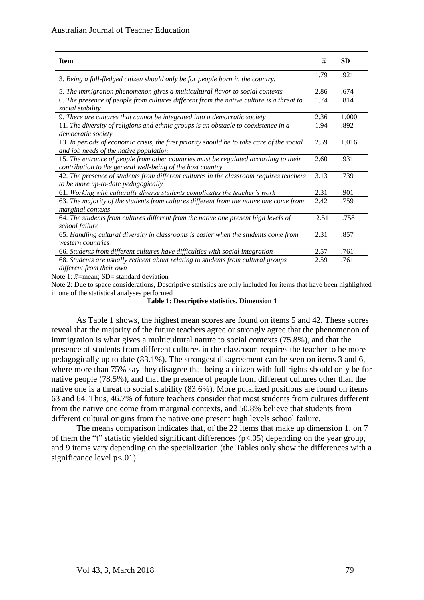| <b>Item</b>                                                                                                                                        | $\overline{x}$ | <b>SD</b> |
|----------------------------------------------------------------------------------------------------------------------------------------------------|----------------|-----------|
| 3. Being a full-fledged citizen should only be for people born in the country.                                                                     | 1.79           | .921      |
| 5. The immigration phenomenon gives a multicultural flavor to social contexts                                                                      | 2.86           | .674      |
| 6. The presence of people from cultures different from the native culture is a threat to<br>social stability                                       | 1.74           | .814      |
| 9. There are cultures that cannot be integrated into a democratic society                                                                          | 2.36           | 1.000     |
| 11. The diversity of religions and ethnic groups is an obstacle to coexistence in a<br>democratic society                                          | 1.94           | .892      |
| 13. In periods of economic crisis, the first priority should be to take care of the social<br>and job needs of the native population               | 2.59           | 1.016     |
| 15. The entrance of people from other countries must be regulated according to their<br>contribution to the general well-being of the host country | 2.60           | .931      |
| 42. The presence of students from different cultures in the classroom requires teachers<br>to be more up-to-date pedagogically                     | 3.13           | .739      |
| 61. Working with culturally diverse students complicates the teacher's work                                                                        | 2.31           | .901      |
| 63. The majority of the students from cultures different from the native one come from<br>marginal contexts                                        | 2.42           | .759      |
| 64. The students from cultures different from the native one present high levels of<br>school failure                                              | 2.51           | .758      |
| 65. Handling cultural diversity in classrooms is easier when the students come from<br>western countries                                           | 2.31           | .857      |
| 66. Students from different cultures have difficulties with social integration                                                                     | 2.57           | .761      |
| 68. Students are usually reticent about relating to students from cultural groups<br>different from their own                                      | 2.59           | .761      |

Note 1:  $\bar{x}$ =mean; SD= standard deviation

Note 2: Due to space considerations, Descriptive statistics are only included for items that have been highlighted in one of the statistical analyses performed

#### **Table 1: Descriptive statistics. Dimension 1**

As Table 1 shows, the highest mean scores are found on items 5 and 42. These scores reveal that the majority of the future teachers agree or strongly agree that the phenomenon of immigration is what gives a multicultural nature to social contexts (75.8%), and that the presence of students from different cultures in the classroom requires the teacher to be more pedagogically up to date (83.1%). The strongest disagreement can be seen on items 3 and 6, where more than 75% say they disagree that being a citizen with full rights should only be for native people (78.5%), and that the presence of people from different cultures other than the native one is a threat to social stability (83.6%). More polarized positions are found on items 63 and 64. Thus, 46.7% of future teachers consider that most students from cultures different from the native one come from marginal contexts, and 50.8% believe that students from different cultural origins from the native one present high levels school failure.

The means comparison indicates that, of the 22 items that make up dimension 1, on 7 of them the "t" statistic yielded significant differences (p<.05) depending on the year group, and 9 items vary depending on the specialization (the Tables only show the differences with a significance level  $p<.01$ ).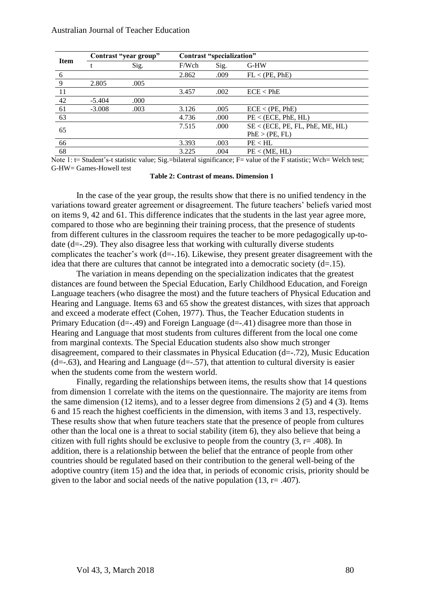|             | Contrast "year group" |      | Contrast "specialization" |      |                                 |  |
|-------------|-----------------------|------|---------------------------|------|---------------------------------|--|
| <b>Item</b> |                       | Sig. | F/Wch                     | Sig. | G-HW                            |  |
| 6           |                       |      | 2.862                     | .009 | FL < (PE, PhE)                  |  |
| -9          | 2.805                 | .005 |                           |      |                                 |  |
| 11          |                       |      | 3.457                     | .002 | $ECE <$ PhE                     |  |
| 42          | $-5.404$              | .000 |                           |      |                                 |  |
| 61          | $-3.008$              | .003 | 3.126                     | .005 | ECE < (PE, PhE)                 |  |
| 63          |                       |      | 4.736                     | .000 | PE < (ECE, PhE, HL)             |  |
| 65          |                       |      | 7.515                     | .000 | SE < (ECE, PE, FL, PhE, ME, HL) |  |
|             |                       |      |                           |      | PhE > (PE, FL)                  |  |
| 66          |                       |      | 3.393                     | .003 | PE < H L                        |  |
| 68          |                       |      | 3.225                     | .004 | PE < (ME, HL)                   |  |

Note 1: t= Student's-t statistic value; Sig.=bilateral significance; F= value of the F statistic; Wch= Welch test; G-HW= Games-Howell test

**Table 2: Contrast of means. Dimension 1**

In the case of the year group, the results show that there is no unified tendency in the variations toward greater agreement or disagreement. The future teachers' beliefs varied most on items 9, 42 and 61. This difference indicates that the students in the last year agree more, compared to those who are beginning their training process, that the presence of students from different cultures in the classroom requires the teacher to be more pedagogically up-todate (d=-.29). They also disagree less that working with culturally diverse students complicates the teacher's work (d=-.16). Likewise, they present greater disagreement with the idea that there are cultures that cannot be integrated into a democratic society  $(d=15)$ .

The variation in means depending on the specialization indicates that the greatest distances are found between the Special Education, Early Childhood Education, and Foreign Language teachers (who disagree the most) and the future teachers of Physical Education and Hearing and Language. Items 63 and 65 show the greatest distances, with sizes that approach and exceed a moderate effect (Cohen, 1977). Thus, the Teacher Education students in Primary Education (d=-.49) and Foreign Language (d=-.41) disagree more than those in Hearing and Language that most students from cultures different from the local one come from marginal contexts. The Special Education students also show much stronger disagreement, compared to their classmates in Physical Education (d=-.72), Music Education  $(d=-.63)$ , and Hearing and Language  $(d=-.57)$ , that attention to cultural diversity is easier when the students come from the western world.

Finally, regarding the relationships between items, the results show that 14 questions from dimension 1 correlate with the items on the questionnaire. The majority are items from the same dimension (12 items), and to a lesser degree from dimensions 2 (5) and 4 (3). Items 6 and 15 reach the highest coefficients in the dimension, with items 3 and 13, respectively. These results show that when future teachers state that the presence of people from cultures other than the local one is a threat to social stability (item 6), they also believe that being a citizen with full rights should be exclusive to people from the country  $(3, r = .408)$ . In addition, there is a relationship between the belief that the entrance of people from other countries should be regulated based on their contribution to the general well-being of the adoptive country (item 15) and the idea that, in periods of economic crisis, priority should be given to the labor and social needs of the native population (13,  $r = .407$ ).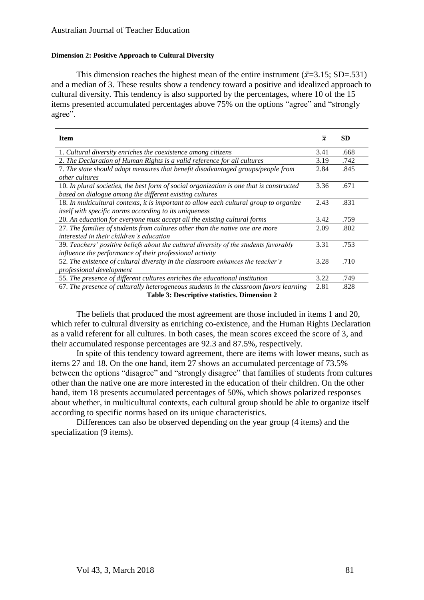#### **Dimension 2: Positive Approach to Cultural Diversity**

This dimension reaches the highest mean of the entire instrument ( $\bar{x}$ =3.15; SD=.531) and a median of 3. These results show a tendency toward a positive and idealized approach to cultural diversity. This tendency is also supported by the percentages, where 10 of the 15 items presented accumulated percentages above 75% on the options "agree" and "strongly agree".

| <b>Item</b>                                                                                                                                         | $\overline{x}$ | <b>SD</b> |  |  |  |
|-----------------------------------------------------------------------------------------------------------------------------------------------------|----------------|-----------|--|--|--|
| 1. Cultural diversity enriches the coexistence among citizens                                                                                       | 3.41           | .668      |  |  |  |
| 2. The Declaration of Human Rights is a valid reference for all cultures                                                                            | 3.19           | .742      |  |  |  |
| 7. The state should adopt measures that benefit disadvantaged groups/people from<br><i>other cultures</i>                                           | 2.84           | .845      |  |  |  |
| 10. In plural societies, the best form of social organization is one that is constructed<br>based on dialogue among the different existing cultures | 3.36           | .671      |  |  |  |
| 18. In multicultural contexts, it is important to allow each cultural group to organize<br>itself with specific norms according to its uniqueness   | 2.43           | .831      |  |  |  |
| 20. An education for everyone must accept all the existing cultural forms                                                                           | 3.42           | .759      |  |  |  |
| 27. The families of students from cultures other than the native one are more<br>interested in their children's education                           | 2.09           | .802      |  |  |  |
| 39. Teachers' positive beliefs about the cultural diversity of the students favorably<br>influence the performance of their professional activity   | 3.31           | .753      |  |  |  |
| 52. The existence of cultural diversity in the classroom enhances the teacher's<br><i>professional development</i>                                  | 3.28           | .710      |  |  |  |
| 55. The presence of different cultures enriches the educational institution                                                                         | 3.22           | .749      |  |  |  |
| 67. The presence of culturally heterogeneous students in the classroom favors learning                                                              | 2.81           | .828      |  |  |  |
| Table 3: Descriptive statistics. Dimension 2                                                                                                        |                |           |  |  |  |

The beliefs that produced the most agreement are those included in items 1 and 20, which refer to cultural diversity as enriching co-existence, and the Human Rights Declaration as a valid referent for all cultures. In both cases, the mean scores exceed the score of 3, and their accumulated response percentages are 92.3 and 87.5%, respectively.

In spite of this tendency toward agreement, there are items with lower means, such as items 27 and 18. On the one hand, item 27 shows an accumulated percentage of 73.5% between the options "disagree" and "strongly disagree" that families of students from cultures other than the native one are more interested in the education of their children. On the other hand, item 18 presents accumulated percentages of 50%, which shows polarized responses about whether, in multicultural contexts, each cultural group should be able to organize itself according to specific norms based on its unique characteristics.

Differences can also be observed depending on the year group (4 items) and the specialization (9 items).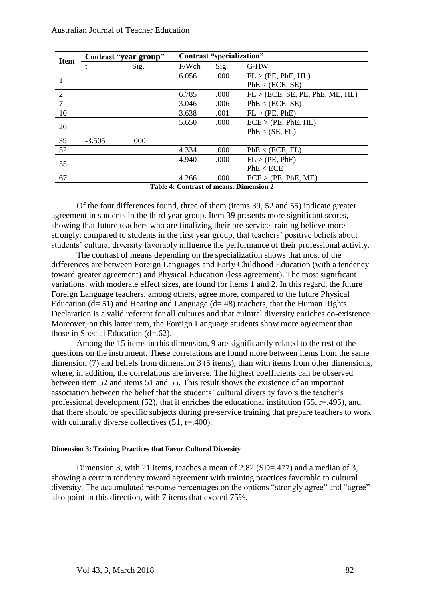| <b>Item</b>                             | Contrast "year group" |      | Contrast "specialization" |      |                                 |  |
|-----------------------------------------|-----------------------|------|---------------------------|------|---------------------------------|--|
|                                         |                       | Sig. | F/Wch                     | Sig. | G-HW                            |  |
|                                         |                       |      | 6.056                     | .000 | FL > (PE, PhE, HL)              |  |
|                                         |                       |      |                           |      | PhE < (ECE, SE)                 |  |
| 2                                       |                       |      | 6.785                     | .000 | FL > (ECE, SE, PE, PhE, ME, HL) |  |
| $\overline{7}$                          |                       |      | 3.046                     | .006 | PhE < (ECE, SE)                 |  |
| 10                                      |                       |      | 3.638                     | .001 | FL > (PE, PhE)                  |  |
| 20                                      |                       |      | 5.650                     | .000 | ECE > (PE, PhE, HL)             |  |
|                                         |                       |      |                           |      | PhE < (SE, FL)                  |  |
| 39                                      | $-3.505$              | .000 |                           |      |                                 |  |
| 52                                      |                       |      | 4.334                     | .000 | PhE < (ECE, FL)                 |  |
| 55                                      |                       |      | 4.940                     | .000 | FL > (PE, PhE)                  |  |
|                                         |                       |      |                           |      | PhE < ECE                       |  |
| 67                                      |                       |      | 4.266                     | .000 | $ECE$ > (PE, PhE, ME)           |  |
| Table 4: Contrast of means. Dimension 2 |                       |      |                           |      |                                 |  |

Of the four differences found, three of them (items 39, 52 and 55) indicate greater agreement in students in the third year group. Item 39 presents more significant scores, showing that future teachers who are finalizing their pre-service training believe more strongly, compared to students in the first year group, that teachers' positive beliefs about students' cultural diversity favorably influence the performance of their professional activity.

The contrast of means depending on the specialization shows that most of the differences are between Foreign Languages and Early Childhood Education (with a tendency toward greater agreement) and Physical Education (less agreement). The most significant variations, with moderate effect sizes, are found for items 1 and 2. In this regard, the future Foreign Language teachers, among others, agree more, compared to the future Physical Education  $(d=51)$  and Hearing and Language  $(d=48)$  teachers, that the Human Rights Declaration is a valid referent for all cultures and that cultural diversity enriches co-existence. Moreover, on this latter item, the Foreign Language students show more agreement than those in Special Education  $(d=62)$ .

Among the 15 items in this dimension, 9 are significantly related to the rest of the questions on the instrument. These correlations are found more between items from the same dimension (7) and beliefs from dimension 3 (5 items), than with items from other dimensions, where, in addition, the correlations are inverse. The highest coefficients can be observed between item 52 and items 51 and 55. This result shows the existence of an important association between the belief that the students' cultural diversity favors the teacher's professional development (52), that it enriches the educational institution (55,  $r = .495$ ), and that there should be specific subjects during pre-service training that prepare teachers to work with culturally diverse collectives (51, r=.400).

#### **Dimension 3: Training Practices that Favor Cultural Diversity**

Dimension 3, with 21 items, reaches a mean of  $2.82$  (SD=.477) and a median of 3, showing a certain tendency toward agreement with training practices favorable to cultural diversity. The accumulated response percentages on the options "strongly agree" and "agree" also point in this direction, with 7 items that exceed 75%.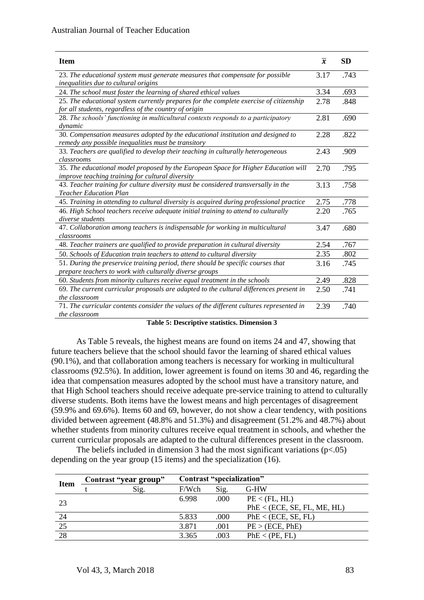| <b>Item</b>                                                                                                                                     | $\overline{x}$ | <b>SD</b> |
|-------------------------------------------------------------------------------------------------------------------------------------------------|----------------|-----------|
| 23. The educational system must generate measures that compensate for possible<br>inequalities due to cultural origins                          | 3.17           | .743      |
| 24. The school must foster the learning of shared ethical values                                                                                | 3.34           | .693      |
| 25. The educational system currently prepares for the complete exercise of citizenship<br>for all students, regardless of the country of origin | 2.78           | .848      |
| 28. The schools' functioning in multicultural contexts responds to a participatory<br>dynamic                                                   | 2.81           | .690      |
| 30. Compensation measures adopted by the educational institution and designed to<br>remedy any possible inequalities must be transitory         | 2.28           | .822      |
| 33. Teachers are qualified to develop their teaching in culturally heterogeneous<br>classrooms                                                  | 2.43           | .909      |
| 35. The educational model proposed by the European Space for Higher Education will<br>improve teaching training for cultural diversity          | 2.70           | .795      |
| 43. Teacher training for culture diversity must be considered transversally in the<br><b>Teacher Education Plan</b>                             | 3.13           | .758      |
| 45. Training in attending to cultural diversity is acquired during professional practice                                                        | 2.75           | .778      |
| 46. High School teachers receive adequate initial training to attend to culturally<br>diverse students                                          | 2.20           | .765      |
| 47. Collaboration among teachers is indispensable for working in multicultural<br>classrooms                                                    | 3.47           | .680      |
| 48. Teacher trainers are qualified to provide preparation in cultural diversity                                                                 | 2.54           | .767      |
| 50. Schools of Education train teachers to attend to cultural diversity                                                                         | 2.35           | .802      |
| 51. During the preservice training period, there should be specific courses that<br>prepare teachers to work with culturally diverse groups     | 3.16           | .745      |
| 60. Students from minority cultures receive equal treatment in the schools                                                                      | 2.49           | .828      |
| 69. The current curricular proposals are adapted to the cultural differences present in<br>the classroom                                        | 2.50           | .741      |
| 71. The curricular contents consider the values of the different cultures represented in<br>the classroom                                       | 2.39           | .740      |

#### **Table 5: Descriptive statistics. Dimension 3**

As Table 5 reveals, the highest means are found on items 24 and 47, showing that future teachers believe that the school should favor the learning of shared ethical values (90.1%), and that collaboration among teachers is necessary for working in multicultural classrooms (92.5%). In addition, lower agreement is found on items 30 and 46, regarding the idea that compensation measures adopted by the school must have a transitory nature, and that High School teachers should receive adequate pre-service training to attend to culturally diverse students. Both items have the lowest means and high percentages of disagreement (59.9% and 69.6%). Items 60 and 69, however, do not show a clear tendency, with positions divided between agreement (48.8% and 51.3%) and disagreement (51.2% and 48.7%) about whether students from minority cultures receive equal treatment in schools, and whether the current curricular proposals are adapted to the cultural differences present in the classroom.

The beliefs included in dimension 3 had the most significant variations  $(p<.05)$ depending on the year group (15 items) and the specialization (16).

| PhE < (ECE, SE, FL, ME, HL) |
|-----------------------------|
|                             |
|                             |
|                             |
|                             |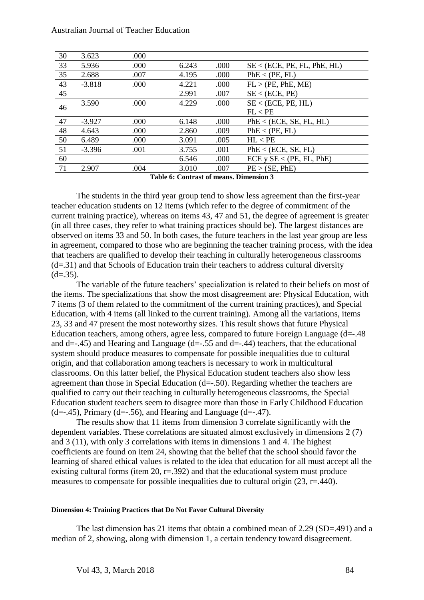| 30 | 3.623                                  | .000 |       |      |                             |  |
|----|----------------------------------------|------|-------|------|-----------------------------|--|
| 33 | 5.936                                  | .000 | 6.243 | .000 | SE < (ECE, PE, FL, PhE, HL) |  |
| 35 | 2.688                                  | .007 | 4.195 | .000 | PhE < (PE, FL)              |  |
| 43 | $-3.818$                               | .000 | 4.221 | .000 | FL > (PE, PhE, ME)          |  |
| 45 |                                        |      | 2.991 | .007 | SE < (ECE, PE)              |  |
| 46 | 3.590                                  | .000 | 4.229 | .000 | SE < (ECE, PE, HL)          |  |
|    |                                        |      |       |      | FL < PE                     |  |
| 47 | $-3.927$                               | .000 | 6.148 | .000 | PhE < (ECE, SE, FL, HL)     |  |
| 48 | 4.643                                  | .000 | 2.860 | .009 | PhE < (PE, FL)              |  |
| 50 | 6.489                                  | .000 | 3.091 | .005 | HL < PE                     |  |
| 51 | $-3.396$                               | .001 | 3.755 | .001 | PhE < (ECE, SE, FL)         |  |
| 60 |                                        |      | 6.546 | .000 | ECE y SE < (PE, FL, PhE)    |  |
| 71 | 2.907                                  | .004 | 3.010 | .007 | PE > (SE, PhE)              |  |
|    | Toble 6: Contract of means Dimension 3 |      |       |      |                             |  |

**Table 6: Contrast of means. Dimension 3**

The students in the third year group tend to show less agreement than the first-year teacher education students on 12 items (which refer to the degree of commitment of the current training practice), whereas on items 43, 47 and 51, the degree of agreement is greater (in all three cases, they refer to what training practices should be). The largest distances are observed on items 33 and 50. In both cases, the future teachers in the last year group are less in agreement, compared to those who are beginning the teacher training process, with the idea that teachers are qualified to develop their teaching in culturally heterogeneous classrooms  $(d=0.31)$  and that Schools of Education train their teachers to address cultural diversity  $(d=35)$ .

The variable of the future teachers' specialization is related to their beliefs on most of the items. The specializations that show the most disagreement are: Physical Education, with 7 items (3 of them related to the commitment of the current training practices), and Special Education, with 4 items (all linked to the current training). Among all the variations, items 23, 33 and 47 present the most noteworthy sizes. This result shows that future Physical Education teachers, among others, agree less, compared to future Foreign Language (d=-.48 and d=-.45) and Hearing and Language (d=-.55 and d=-.44) teachers, that the educational system should produce measures to compensate for possible inequalities due to cultural origin, and that collaboration among teachers is necessary to work in multicultural classrooms. On this latter belief, the Physical Education student teachers also show less agreement than those in Special Education (d=-.50). Regarding whether the teachers are qualified to carry out their teaching in culturally heterogeneous classrooms, the Special Education student teachers seem to disagree more than those in Early Childhood Education  $(d=-.45)$ , Primary (d= $-0.56$ ), and Hearing and Language (d= $-0.47$ ).

The results show that 11 items from dimension 3 correlate significantly with the dependent variables. These correlations are situated almost exclusively in dimensions 2 (7) and 3 (11), with only 3 correlations with items in dimensions 1 and 4. The highest coefficients are found on item 24, showing that the belief that the school should favor the learning of shared ethical values is related to the idea that education for all must accept all the existing cultural forms (item 20,  $r = .392$ ) and that the educational system must produce measures to compensate for possible inequalities due to cultural origin  $(23, r=440)$ .

#### **Dimension 4: Training Practices that Do Not Favor Cultural Diversity**

The last dimension has 21 items that obtain a combined mean of 2.29 (SD=.491) and a median of 2, showing, along with dimension 1, a certain tendency toward disagreement.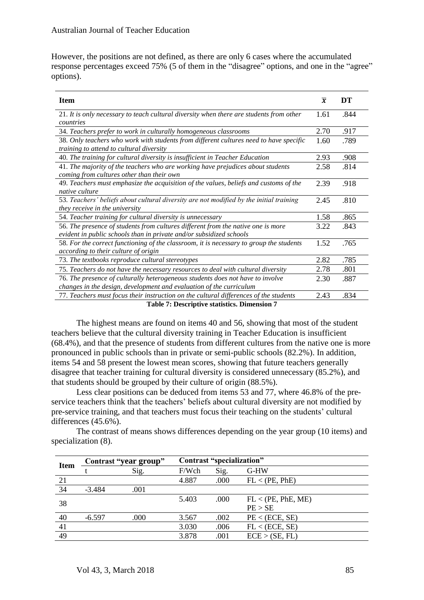However, the positions are not defined, as there are only 6 cases where the accumulated response percentages exceed 75% (5 of them in the "disagree" options, and one in the "agree" options).

| <b>Item</b>                                                                                                                                             | $\overline{x}$ | DT   |
|---------------------------------------------------------------------------------------------------------------------------------------------------------|----------------|------|
| 21. It is only necessary to teach cultural diversity when there are students from other<br>countries                                                    | 1.61           | .844 |
| 34. Teachers prefer to work in culturally homogeneous classrooms                                                                                        | 2.70           | .917 |
| 38. Only teachers who work with students from different cultures need to have specific<br>training to attend to cultural diversity                      | 1.60           | .789 |
| 40. The training for cultural diversity is insufficient in Teacher Education                                                                            | 2.93           | .908 |
| 41. The majority of the teachers who are working have prejudices about students<br>coming from cultures other than their own                            | 2.58           | .814 |
| 49. Teachers must emphasize the acquisition of the values, beliefs and customs of the<br>native culture                                                 | 2.39           | .918 |
| 53. Teachers' beliefs about cultural diversity are not modified by the initial training<br>they receive in the university                               | 2.45           | .810 |
| 54. Teacher training for cultural diversity is unnecessary                                                                                              | 1.58           | .865 |
| 56. The presence of students from cultures different from the native one is more<br>evident in public schools than in private and/or subsidized schools | 3.22           | .843 |
| 58. For the correct functioning of the classroom, it is necessary to group the students<br>according to their culture of origin                         | 1.52           | .765 |
| 73. The textbooks reproduce cultural stereotypes                                                                                                        | 2.82           | .785 |
| 75. Teachers do not have the necessary resources to deal with cultural diversity                                                                        | 2.78           | .801 |
| 76. The presence of culturally heterogeneous students does not have to involve<br>changes in the design, development and evaluation of the curriculum   | 2.30           | .887 |
| 77. Teachers must focus their instruction on the cultural differences of the students                                                                   | 2.43           | .834 |
| $\pi$ . L.I. $\pi$ . Decentration of the finite Direction $\pi$                                                                                         |                |      |

**Table 7: Descriptive statistics. Dimension 7**

The highest means are found on items 40 and 56, showing that most of the student teachers believe that the cultural diversity training in Teacher Education is insufficient (68.4%), and that the presence of students from different cultures from the native one is more pronounced in public schools than in private or semi-public schools (82.2%). In addition, items 54 and 58 present the lowest mean scores, showing that future teachers generally disagree that teacher training for cultural diversity is considered unnecessary (85.2%), and that students should be grouped by their culture of origin (88.5%).

Less clear positions can be deduced from items 53 and 77, where 46.8% of the preservice teachers think that the teachers' beliefs about cultural diversity are not modified by pre-service training, and that teachers must focus their teaching on the students' cultural differences (45.6%).

The contrast of means shows differences depending on the year group (10 items) and specialization  $(8)$ .

| <b>Item</b> | Contrast "year group" |      | Contrast "specialization" |      |                    |
|-------------|-----------------------|------|---------------------------|------|--------------------|
|             |                       | Sig. | F/Wch                     | Sig. | G-HW               |
| 21          |                       |      | 4.887                     | .000 | FL < (PE, PhE)     |
| 34          | $-3.484$              | .001 |                           |      |                    |
| 38          |                       |      | 5.403                     | .000 | FL < (PE, PhE, ME) |
|             |                       |      |                           |      | PE > SE            |
| 40          | $-6.597$              | .000 | 3.567                     | .002 | PE < (ECE, SE)     |
| 41          |                       |      | 3.030                     | .006 | FL < (ECE, SE)     |
| 49          |                       |      | 3.878                     | .001 | ECE > (SE, FL)     |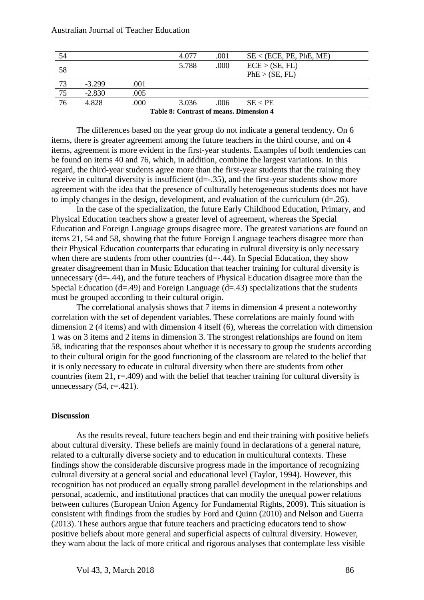| 54                                      |          |      | 4.077 | .001 | SE < (ECE, PE, PhE, ME) |
|-----------------------------------------|----------|------|-------|------|-------------------------|
|                                         |          |      | 5.788 | .000 | ECE > (SE, FL)          |
| 58                                      |          |      |       |      | PhE > (SE, FL)          |
| 73                                      | $-3.299$ | .001 |       |      |                         |
| $\overline{75}$                         | $-2.830$ | .005 |       |      |                         |
| 76                                      | 4.828    | .000 | 3.036 | .006 | SE < PE                 |
| Table 8: Contrast of means. Dimension 4 |          |      |       |      |                         |

The differences based on the year group do not indicate a general tendency. On 6 items, there is greater agreement among the future teachers in the third course, and on 4 items, agreement is more evident in the first-year students. Examples of both tendencies can be found on items 40 and 76, which, in addition, combine the largest variations. In this regard, the third-year students agree more than the first-year students that the training they receive in cultural diversity is insufficient  $(d=-.35)$ , and the first-year students show more agreement with the idea that the presence of culturally heterogeneous students does not have to imply changes in the design, development, and evaluation of the curriculum  $(d=26)$ .

In the case of the specialization, the future Early Childhood Education, Primary, and Physical Education teachers show a greater level of agreement, whereas the Special Education and Foreign Language groups disagree more. The greatest variations are found on items 21, 54 and 58, showing that the future Foreign Language teachers disagree more than their Physical Education counterparts that educating in cultural diversity is only necessary when there are students from other countries  $(d=-.44)$ . In Special Education, they show greater disagreement than in Music Education that teacher training for cultural diversity is unnecessary  $(d=-.44)$ , and the future teachers of Physical Education disagree more than the Special Education (d=.49) and Foreign Language (d=.43) specializations that the students must be grouped according to their cultural origin.

The correlational analysis shows that 7 items in dimension 4 present a noteworthy correlation with the set of dependent variables. These correlations are mainly found with dimension 2 (4 items) and with dimension 4 itself (6), whereas the correlation with dimension 1 was on 3 items and 2 items in dimension 3. The strongest relationships are found on item 58, indicating that the responses about whether it is necessary to group the students according to their cultural origin for the good functioning of the classroom are related to the belief that it is only necessary to educate in cultural diversity when there are students from other countries (item 21,  $r=409$ ) and with the belief that teacher training for cultural diversity is unnecessary  $(54, r=.421)$ .

#### **Discussion**

As the results reveal, future teachers begin and end their training with positive beliefs about cultural diversity. These beliefs are mainly found in declarations of a general nature, related to a culturally diverse society and to education in multicultural contexts. These findings show the considerable discursive progress made in the importance of recognizing cultural diversity at a general social and educational level (Taylor, 1994). However, this recognition has not produced an equally strong parallel development in the relationships and personal, academic, and institutional practices that can modify the unequal power relations between cultures (European Union Agency for Fundamental Rights, 2009). This situation is consistent with findings from the studies by Ford and Quinn (2010) and Nelson and Guerra (2013). These authors argue that future teachers and practicing educators tend to show positive beliefs about more general and superficial aspects of cultural diversity. However, they warn about the lack of more critical and rigorous analyses that contemplate less visible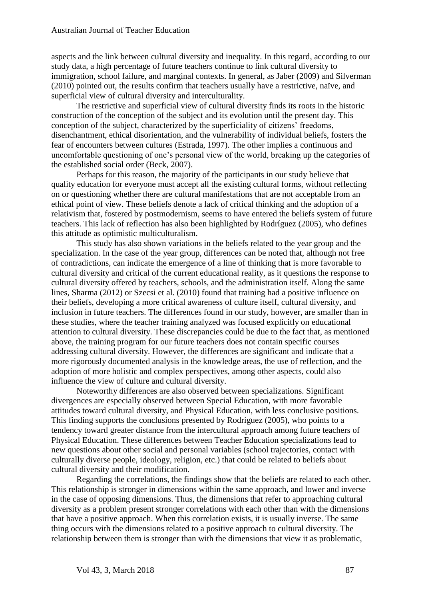aspects and the link between cultural diversity and inequality. In this regard, according to our study data, a high percentage of future teachers continue to link cultural diversity to immigration, school failure, and marginal contexts. In general, as Jaber (2009) and Silverman (2010) pointed out, the results confirm that teachers usually have a restrictive, naïve, and superficial view of cultural diversity and interculturality.

The restrictive and superficial view of cultural diversity finds its roots in the historic construction of the conception of the subject and its evolution until the present day. This conception of the subject, characterized by the superficiality of citizens' freedoms, disenchantment, ethical disorientation, and the vulnerability of individual beliefs, fosters the fear of encounters between cultures (Estrada, 1997). The other implies a continuous and uncomfortable questioning of one's personal view of the world, breaking up the categories of the established social order (Beck, 2007).

Perhaps for this reason, the majority of the participants in our study believe that quality education for everyone must accept all the existing cultural forms, without reflecting on or questioning whether there are cultural manifestations that are not acceptable from an ethical point of view. These beliefs denote a lack of critical thinking and the adoption of a relativism that, fostered by postmodernism, seems to have entered the beliefs system of future teachers. This lack of reflection has also been highlighted by Rodríguez (2005), who defines this attitude as optimistic multiculturalism.

This study has also shown variations in the beliefs related to the year group and the specialization. In the case of the year group, differences can be noted that, although not free of contradictions, can indicate the emergence of a line of thinking that is more favorable to cultural diversity and critical of the current educational reality, as it questions the response to cultural diversity offered by teachers, schools, and the administration itself. Along the same lines, Sharma (2012) or Szecsi et al. (2010) found that training had a positive influence on their beliefs, developing a more critical awareness of culture itself, cultural diversity, and inclusion in future teachers. The differences found in our study, however, are smaller than in these studies, where the teacher training analyzed was focused explicitly on educational attention to cultural diversity. These discrepancies could be due to the fact that, as mentioned above, the training program for our future teachers does not contain specific courses addressing cultural diversity. However, the differences are significant and indicate that a more rigorously documented analysis in the knowledge areas, the use of reflection, and the adoption of more holistic and complex perspectives, among other aspects, could also influence the view of culture and cultural diversity.

Noteworthy differences are also observed between specializations. Significant divergences are especially observed between Special Education, with more favorable attitudes toward cultural diversity, and Physical Education, with less conclusive positions. This finding supports the conclusions presented by Rodríguez (2005), who points to a tendency toward greater distance from the intercultural approach among future teachers of Physical Education. These differences between Teacher Education specializations lead to new questions about other social and personal variables (school trajectories, contact with culturally diverse people, ideology, religion, etc.) that could be related to beliefs about cultural diversity and their modification.

Regarding the correlations, the findings show that the beliefs are related to each other. This relationship is stronger in dimensions within the same approach, and lower and inverse in the case of opposing dimensions. Thus, the dimensions that refer to approaching cultural diversity as a problem present stronger correlations with each other than with the dimensions that have a positive approach. When this correlation exists, it is usually inverse. The same thing occurs with the dimensions related to a positive approach to cultural diversity. The relationship between them is stronger than with the dimensions that view it as problematic,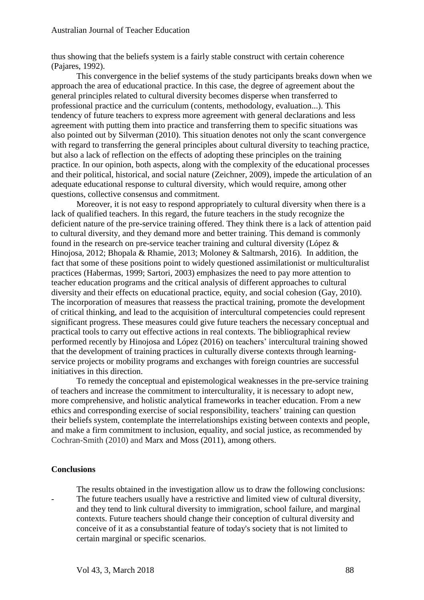thus showing that the beliefs system is a fairly stable construct with certain coherence (Pajares, 1992).

This convergence in the belief systems of the study participants breaks down when we approach the area of educational practice. In this case, the degree of agreement about the general principles related to cultural diversity becomes disperse when transferred to professional practice and the curriculum (contents, methodology, evaluation...). This tendency of future teachers to express more agreement with general declarations and less agreement with putting them into practice and transferring them to specific situations was also pointed out by Silverman (2010). This situation denotes not only the scant convergence with regard to transferring the general principles about cultural diversity to teaching practice, but also a lack of reflection on the effects of adopting these principles on the training practice. In our opinion, both aspects, along with the complexity of the educational processes and their political, historical, and social nature (Zeichner, 2009), impede the articulation of an adequate educational response to cultural diversity, which would require, among other questions, collective consensus and commitment.

Moreover, it is not easy to respond appropriately to cultural diversity when there is a lack of qualified teachers. In this regard, the future teachers in the study recognize the deficient nature of the pre-service training offered. They think there is a lack of attention paid to cultural diversity, and they demand more and better training. This demand is commonly found in the research on pre-service teacher training and cultural diversity (López & Hinojosa, 2012; Bhopala & Rhamie, 2013; Moloney & Saltmarsh, 2016). In addition, the fact that some of these positions point to widely questioned assimilationist or multiculturalist practices (Habermas, 1999; Sartori, 2003) emphasizes the need to pay more attention to teacher education programs and the critical analysis of different approaches to cultural diversity and their effects on educational practice, equity, and social cohesion (Gay, 2010). The incorporation of measures that reassess the practical training, promote the development of critical thinking, and lead to the acquisition of intercultural competencies could represent significant progress. These measures could give future teachers the necessary conceptual and practical tools to carry out effective actions in real contexts. The bibliographical review performed recently by Hinojosa and López (2016) on teachers' intercultural training showed that the development of training practices in culturally diverse contexts through learningservice projects or mobility programs and exchanges with foreign countries are successful initiatives in this direction.

To remedy the conceptual and epistemological weaknesses in the pre-service training of teachers and increase the commitment to interculturality, it is necessary to adopt new, more comprehensive, and holistic analytical frameworks in teacher education. From a new ethics and corresponding exercise of social responsibility, teachers' training can question their beliefs system, contemplate the interrelationships existing between contexts and people, and make a firm commitment to inclusion, equality, and social justice, as recommended by Cochran-Smith (2010) and Marx and Moss (2011), among others.

#### **Conclusions**

The results obtained in the investigation allow us to draw the following conclusions: The future teachers usually have a restrictive and limited view of cultural diversity, and they tend to link cultural diversity to immigration, school failure, and marginal contexts. Future teachers should change their conception of cultural diversity and conceive of it as a consubstantial feature of today's society that is not limited to certain marginal or specific scenarios.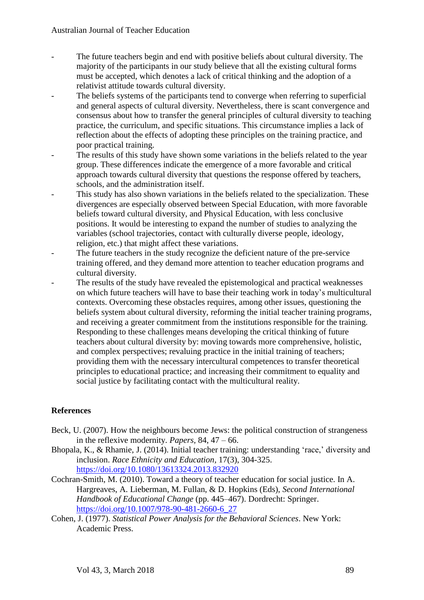- The future teachers begin and end with positive beliefs about cultural diversity. The majority of the participants in our study believe that all the existing cultural forms must be accepted, which denotes a lack of critical thinking and the adoption of a relativist attitude towards cultural diversity.
- The beliefs systems of the participants tend to converge when referring to superficial and general aspects of cultural diversity. Nevertheless, there is scant convergence and consensus about how to transfer the general principles of cultural diversity to teaching practice, the curriculum, and specific situations. This circumstance implies a lack of reflection about the effects of adopting these principles on the training practice, and poor practical training.
- The results of this study have shown some variations in the beliefs related to the year group. These differences indicate the emergence of a more favorable and critical approach towards cultural diversity that questions the response offered by teachers, schools, and the administration itself.
- This study has also shown variations in the beliefs related to the specialization. These divergences are especially observed between Special Education, with more favorable beliefs toward cultural diversity, and Physical Education, with less conclusive positions. It would be interesting to expand the number of studies to analyzing the variables (school trajectories, contact with culturally diverse people, ideology, religion, etc.) that might affect these variations.
- The future teachers in the study recognize the deficient nature of the pre-service training offered, and they demand more attention to teacher education programs and cultural diversity.
- The results of the study have revealed the epistemological and practical weaknesses on which future teachers will have to base their teaching work in today's multicultural contexts. Overcoming these obstacles requires, among other issues, questioning the beliefs system about cultural diversity, reforming the initial teacher training programs, and receiving a greater commitment from the institutions responsible for the training. Responding to these challenges means developing the critical thinking of future teachers about cultural diversity by: moving towards more comprehensive, holistic, and complex perspectives; revaluing practice in the initial training of teachers; providing them with the necessary intercultural competences to transfer theoretical principles to educational practice; and increasing their commitment to equality and social justice by facilitating contact with the multicultural reality.

## **References**

- Beck, U. (2007). How the neighbours become Jews: the political construction of strangeness in the reflexive modernity. *Papers,* 84, 47 – 66.
- Bhopala, K., & Rhamie, J. (2014). Initial teacher training: understanding 'race,' diversity and inclusion. *Race Ethnicity and Education,* 17(3), 304-325. <https://doi.org/10.1080/13613324.2013.832920>
- Cochran-Smith, M. (2010). Toward a theory of teacher education for social justice. In A. Hargreaves, A. Lieberman, M. Fullan, & D. Hopkins (Eds), *Second International Handbook of Educational Change* (pp. 445–467). Dordrecht: Springer. [https://doi.org/10.1007/978-90-481-2660-6\\_27](https://doi.org/10.1007/978-90-481-2660-6_27)
- Cohen, J. (1977). *Statistical Power Analysis for the Behavioral Sciences*. New York: Academic Press.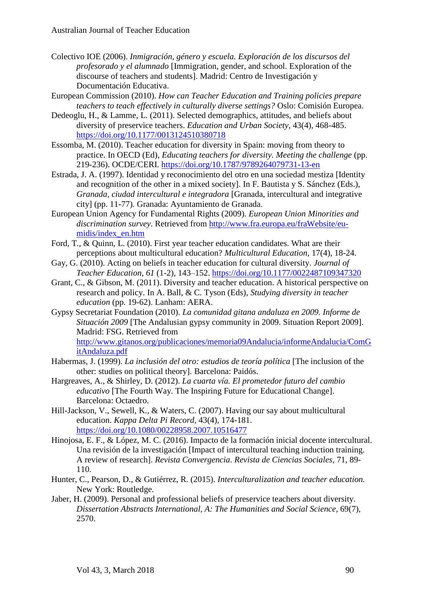- Colectivo IOE (2006). *Inmigración, género y escuela. Exploración de los discursos del profesorado y el alumnado* [Immigration, gender, and school. Exploration of the discourse of teachers and students]. Madrid: Centro de Investigación y Documentación Educativa.
- European Commission (2010). *How can Teacher Education and Training policies prepare teachers to teach effectively in culturally diverse settings?* Oslo: Comisión Europea.
- Dedeoglu, H., & Lamme, L. (2011). Selected demographics, attitudes, and beliefs about diversity of preservice teachers. *Education and Urban Society,* 43(4), 468-485. <https://doi.org/10.1177/0013124510380718>
- Essomba, M. (2010). Teacher education for diversity in Spain: moving from theory to practice. In OECD (Ed), *Educating teachers for diversity. Meeting the challenge* (pp. 219-236). OCDE/CERI. <https://doi.org/10.1787/9789264079731-13-en>
- Estrada, J. A. (1997). Identidad y reconocimiento del otro en una sociedad mestiza [Identity and recognition of the other in a mixed society]. In F. Bautista y S. Sánchez (Eds.), *Granada, ciudad intercultural e integradora* [Granada, intercultural and integrative city] (pp. 11-77)*.* Granada: Ayuntamiento de Granada.
- European Union Agency for Fundamental Rights (2009). *European Union Minorities and discrimination survey*. Retrieved from [http://www.fra.europa.eu/fraWebsite/eu](http://www.fra.europa.eu/fraWebsite/eu-midis/index_en.htm)[midis/index\\_en.htm](http://www.fra.europa.eu/fraWebsite/eu-midis/index_en.htm)
- Ford, T., & Quinn, L. (2010). First year teacher education candidates. What are their perceptions about multicultural education? *Multicultural Education,* 17(4), 18-24.
- Gay, G. (2010). Acting on beliefs in teacher education for cultural diversity. *Journal of Teacher Education*, *61* (1-2), 143–152. <https://doi.org/10.1177/0022487109347320>
- Grant, C., & Gibson, M. (2011). Diversity and teacher education. A historical perspective on research and policy. In A. Ball, & C. Tyson (Eds), *Studying diversity in teacher education* (pp. 19-62). Lanham: AERA.
- Gypsy Secretariat Foundation (2010). *La comunidad gitana andaluza en 2009. Informe de Situación 2009* [The Andalusian gypsy community in 2009. Situation Report 2009]. Madrid: FSG. Retrieved from [http://www.gitanos.org/publicaciones/memoria09Andalucia/informeAndalucia/ComG](http://www.gitanos.org/publicaciones/memoria09Andalucia/informeAndalucia/ComGitAndaluza.pdf) [itAndaluza.pdf](http://www.gitanos.org/publicaciones/memoria09Andalucia/informeAndalucia/ComGitAndaluza.pdf)
- Habermas, J. (1999). *La inclusión del otro: estudios de teoría política* [The inclusion of the other: studies on political theory]*.* Barcelona: Paidós.
- Hargreaves, A., & Shirley, D. (2012). *La cuarta vía. El prometedor futuro del cambio educativo* [The Fourth Way. The Inspiring Future for Educational Change]. Barcelona: Octaedro.
- Hill-Jackson, V., Sewell, K., & Waters, C. (2007). Having our say about multicultural education. *Kappa Delta Pi Record,* 43(4), 174-181. <https://doi.org/10.1080/00228958.2007.10516477>
- Hinojosa, E. F., & López, M. C. (2016). Impacto de la formación inicial docente intercultural. Una revisión de la investigación [Impact of intercultural teaching induction training. A review of research]. *Revista Convergencia*. *Revista de Ciencias Sociales,* 71, 89- 110.
- Hunter, C., Pearson, D., & Gutiérrez, R. (2015). *Interculturalization and teacher education.* New York: Routledge.
- Jaber, H. (2009). Personal and professional beliefs of preservice teachers about diversity. *Dissertation Abstracts International, A: The Humanities and Social Science,* 69(7), 2570.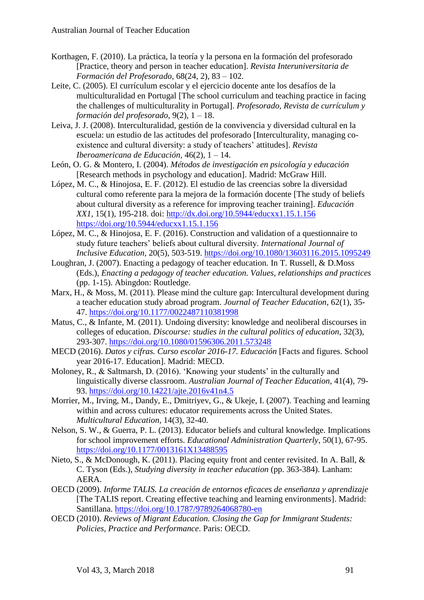- Korthagen, F. (2010). La práctica, la teoría y la persona en la formación del profesorado [Practice, theory and person in teacher education]. *Revista Interuniversitaria de Formación del Profesorado,* 68(24, 2), 83 – 102.
- Leite, C. (2005). El currículum escolar y el ejercicio docente ante los desafíos de la multiculturalidad en Portugal [The school curriculum and teaching practice in facing the challenges of multiculturality in Portugal]. *Profesorado, Revista de currículum y formación del profesorado,* 9(2), 1 – 18.
- Leiva, J. J. (2008). Interculturalidad, gestión de la convivencia y diversidad cultural en la escuela: un estudio de las actitudes del profesorado [Interculturality, managing coexistence and cultural diversity: a study of teachers' attitudes]. *Revista Iberoamericana de Educación,* 46(2), 1 – 14.
- León, O. G. & Montero, I. (2004). *Métodos de investigación en psicología y educación* [Research methods in psychology and education]. Madrid: McGraw Hill.
- López, M. C., & Hinojosa, E. F. (2012). El estudio de las creencias sobre la diversidad cultural como referente para la mejora de la formación docente [The study of beliefs about cultural diversity as a reference for improving teacher training]. *Educación XX1,* 15(1), 195-218. doi:<http://dx.doi.org/10.5944/educxx1.15.1.156> <https://doi.org/10.5944/educxx1.15.1.156>
- López, M. C., & Hinojosa, E. F. (2016). Construction and validation of a questionnaire to study future teachers' beliefs about cultural diversity. *International Journal of Inclusive Education,* 20(5), 503-519.<https://doi.org/10.1080/13603116.2015.1095249>
- Loughran, J. (2007). Enacting a pedagogy of teacher education. In T. Russell, & D.Moss (Eds.), *Enacting a pedagogy of teacher education. Values, relationships and practices* (pp. 1-15). Abingdon: Routledge.
- Marx, H., & Moss, M. (2011). Please mind the culture gap: Intercultural development during a teacher education study abroad program. *Journal of Teacher Education,* 62(1), 35- 47.<https://doi.org/10.1177/0022487110381998>
- Matus, C., & Infante, M. (2011). Undoing diversity: knowledge and neoliberal discourses in colleges of education. *Discourse: studies in the cultural politics of education,* 32(3), 293-307.<https://doi.org/10.1080/01596306.2011.573248>
- MECD (2016). *Datos y cifras. Curso escolar 2016-17. Educación* [Facts and figures. School year 2016-17. Education]. Madrid: MECD.
- Moloney, R., & Saltmarsh, D. (2016). 'Knowing your students' in the culturally and linguistically diverse classroom. *Australian Journal of Teacher Education*, 41(4), 79- 93.<https://doi.org/10.14221/ajte.2016v41n4.5>
- Morrier, M., Irving, M., Dandy, E., Dmitriyev, G., & Ukeje, I. (2007). Teaching and learning within and across cultures: educator requirements across the United States. *Multicultural Education,* 14(3), 32-40.
- Nelson, S. W., & Guerra, P. L. (2013). Educator beliefs and cultural knowledge. Implications for school improvement efforts. *Educational Administration Quarterly*, 50(1), 67-95. <https://doi.org/10.1177/0013161X13488595>
- Nieto, S., & McDonough, K. (2011). Placing equity front and center revisited. In A. Ball, & C. Tyson (Eds.), *Studying diversity in teacher education* (pp. 363-384). Lanham: AERA.
- OECD (2009). *Informe TALIS. La creación de entornos eficaces de enseñanza y aprendizaje* [The TALIS report. Creating effective teaching and learning environments]. Madrid: Santillana. <https://doi.org/10.1787/9789264068780-en>
- OECD (2010). *Reviews of Migrant Education. Closing the Gap for Immigrant Students: Policies, Practice and Performance*. Paris: OECD.